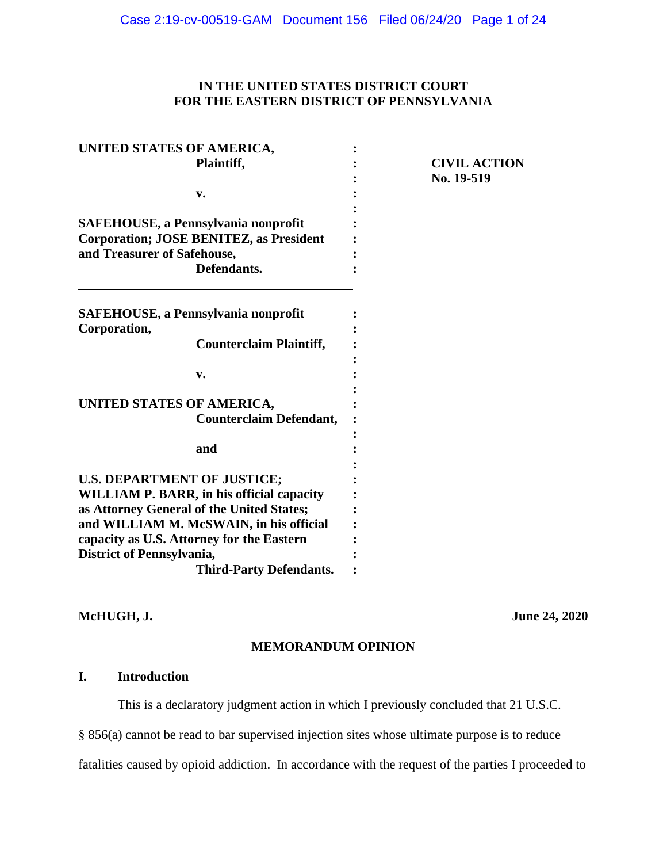# **IN THE UNITED STATES DISTRICT COURT FOR THE EASTERN DISTRICT OF PENNSYLVANIA**

| UNITED STATES OF AMERICA,                        |                     |
|--------------------------------------------------|---------------------|
| Plaintiff,                                       | <b>CIVIL ACTION</b> |
|                                                  | No. 19-519          |
| v.                                               |                     |
|                                                  |                     |
| <b>SAFEHOUSE, a Pennsylvania nonprofit</b>       |                     |
| <b>Corporation; JOSE BENITEZ, as President</b>   |                     |
| and Treasurer of Safehouse,                      |                     |
| Defendants.                                      |                     |
| <b>SAFEHOUSE, a Pennsylvania nonprofit</b>       |                     |
| Corporation,                                     |                     |
| <b>Counterclaim Plaintiff,</b>                   |                     |
|                                                  |                     |
| v.                                               |                     |
|                                                  |                     |
| UNITED STATES OF AMERICA,                        |                     |
| <b>Counterclaim Defendant,</b>                   |                     |
|                                                  |                     |
| and                                              |                     |
|                                                  |                     |
| <b>U.S. DEPARTMENT OF JUSTICE;</b>               |                     |
| <b>WILLIAM P. BARR, in his official capacity</b> |                     |
| as Attorney General of the United States;        |                     |
| and WILLIAM M. McSWAIN, in his official          |                     |
| capacity as U.S. Attorney for the Eastern        |                     |
| <b>District of Pennsylvania,</b>                 |                     |
| <b>Third-Party Defendants.</b>                   |                     |

**McHUGH, J. June 24, 2020**

# **MEMORANDUM OPINION**

# **I. Introduction**

This is a declaratory judgment action in which I previously concluded that 21 U.S.C.

§ 856(a) cannot be read to bar supervised injection sites whose ultimate purpose is to reduce

fatalities caused by opioid addiction. In accordance with the request of the parties I proceeded to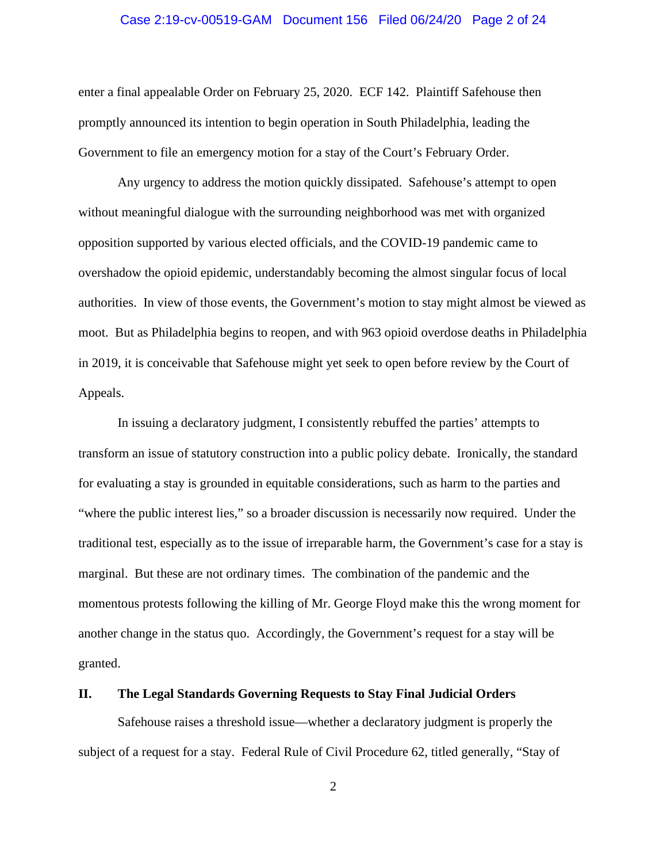# Case 2:19-cv-00519-GAM Document 156 Filed 06/24/20 Page 2 of 24

enter a final appealable Order on February 25, 2020. ECF 142. Plaintiff Safehouse then promptly announced its intention to begin operation in South Philadelphia, leading the Government to file an emergency motion for a stay of the Court's February Order.

Any urgency to address the motion quickly dissipated. Safehouse's attempt to open without meaningful dialogue with the surrounding neighborhood was met with organized opposition supported by various elected officials, and the COVID-19 pandemic came to overshadow the opioid epidemic, understandably becoming the almost singular focus of local authorities. In view of those events, the Government's motion to stay might almost be viewed as moot. But as Philadelphia begins to reopen, and with 963 opioid overdose deaths in Philadelphia in 2019, it is conceivable that Safehouse might yet seek to open before review by the Court of Appeals.

In issuing a declaratory judgment, I consistently rebuffed the parties' attempts to transform an issue of statutory construction into a public policy debate. Ironically, the standard for evaluating a stay is grounded in equitable considerations, such as harm to the parties and "where the public interest lies," so a broader discussion is necessarily now required. Under the traditional test, especially as to the issue of irreparable harm, the Government's case for a stay is marginal. But these are not ordinary times. The combination of the pandemic and the momentous protests following the killing of Mr. George Floyd make this the wrong moment for another change in the status quo. Accordingly, the Government's request for a stay will be granted.

#### **II. The Legal Standards Governing Requests to Stay Final Judicial Orders**

Safehouse raises a threshold issue—whether a declaratory judgment is properly the subject of a request for a stay. Federal Rule of Civil Procedure 62, titled generally, "Stay of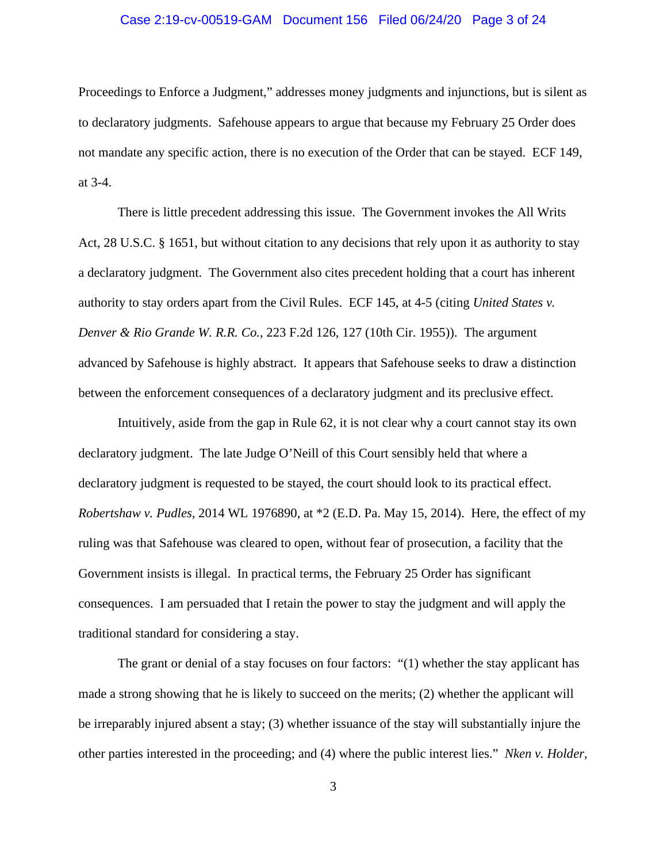# Case 2:19-cv-00519-GAM Document 156 Filed 06/24/20 Page 3 of 24

Proceedings to Enforce a Judgment," addresses money judgments and injunctions, but is silent as to declaratory judgments. Safehouse appears to argue that because my February 25 Order does not mandate any specific action, there is no execution of the Order that can be stayed. ECF 149, at 3-4.

There is little precedent addressing this issue. The Government invokes the All Writs Act, 28 U.S.C. § 1651, but without citation to any decisions that rely upon it as authority to stay a declaratory judgment. The Government also cites precedent holding that a court has inherent authority to stay orders apart from the Civil Rules. ECF 145, at 4-5 (citing *United States v. Denver & Rio Grande W. R.R. Co.*, 223 F.2d 126, 127 (10th Cir. 1955)). The argument advanced by Safehouse is highly abstract. It appears that Safehouse seeks to draw a distinction between the enforcement consequences of a declaratory judgment and its preclusive effect.

Intuitively, aside from the gap in Rule 62, it is not clear why a court cannot stay its own declaratory judgment. The late Judge O'Neill of this Court sensibly held that where a declaratory judgment is requested to be stayed, the court should look to its practical effect. *Robertshaw v. Pudles*, 2014 WL 1976890, at \*2 (E.D. Pa. May 15, 2014). Here, the effect of my ruling was that Safehouse was cleared to open, without fear of prosecution, a facility that the Government insists is illegal. In practical terms, the February 25 Order has significant consequences. I am persuaded that I retain the power to stay the judgment and will apply the traditional standard for considering a stay.

The grant or denial of a stay focuses on four factors: "(1) whether the stay applicant has made a strong showing that he is likely to succeed on the merits; (2) whether the applicant will be irreparably injured absent a stay; (3) whether issuance of the stay will substantially injure the other parties interested in the proceeding; and (4) where the public interest lies." *Nken v. Holder*,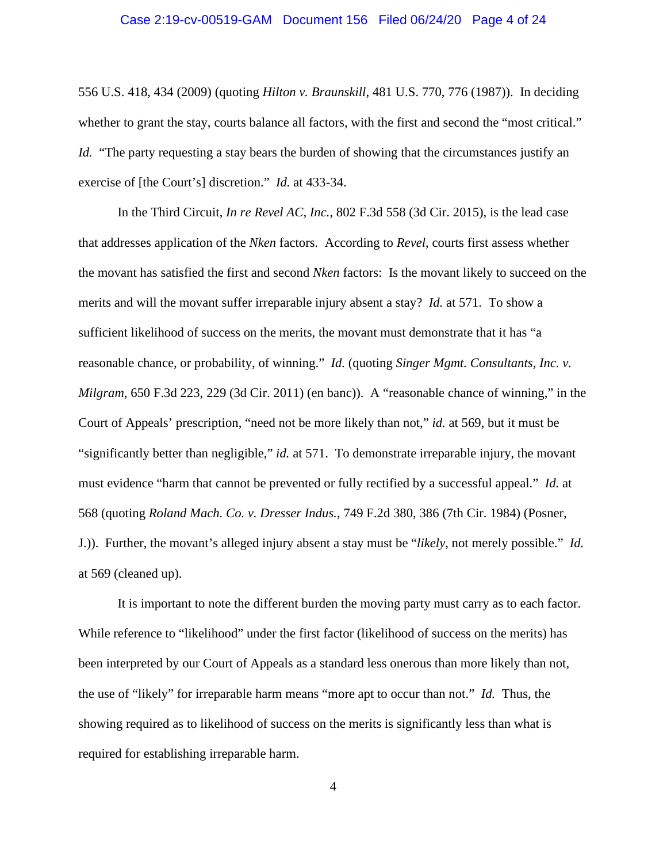# Case 2:19-cv-00519-GAM Document 156 Filed 06/24/20 Page 4 of 24

556 U.S. 418, 434 (2009) (quoting *Hilton v. Braunskill*, 481 U.S. 770, 776 (1987)). In deciding whether to grant the stay, courts balance all factors, with the first and second the "most critical." *Id.* "The party requesting a stay bears the burden of showing that the circumstances justify an exercise of [the Court's] discretion." *Id.* at 433-34.

In the Third Circuit, *In re Revel AC, Inc.*, 802 F.3d 558 (3d Cir. 2015), is the lead case that addresses application of the *Nken* factors. According to *Revel*, courts first assess whether the movant has satisfied the first and second *Nken* factors: Is the movant likely to succeed on the merits and will the movant suffer irreparable injury absent a stay? *Id.* at 571. To show a sufficient likelihood of success on the merits, the movant must demonstrate that it has "a reasonable chance, or probability, of winning." *Id.* (quoting *Singer Mgmt. Consultants, Inc. v. Milgram*, 650 F.3d 223, 229 (3d Cir. 2011) (en banc)). A "reasonable chance of winning," in the Court of Appeals' prescription, "need not be more likely than not," *id.* at 569, but it must be "significantly better than negligible," *id.* at 571. To demonstrate irreparable injury, the movant must evidence "harm that cannot be prevented or fully rectified by a successful appeal." *Id.* at 568 (quoting *Roland Mach. Co. v. Dresser Indus.*, 749 F.2d 380, 386 (7th Cir. 1984) (Posner, J.)). Further, the movant's alleged injury absent a stay must be "*likely*, not merely possible." *Id.*  at 569 (cleaned up).

It is important to note the different burden the moving party must carry as to each factor. While reference to "likelihood" under the first factor (likelihood of success on the merits) has been interpreted by our Court of Appeals as a standard less onerous than more likely than not, the use of "likely" for irreparable harm means "more apt to occur than not." *Id.* Thus, the showing required as to likelihood of success on the merits is significantly less than what is required for establishing irreparable harm.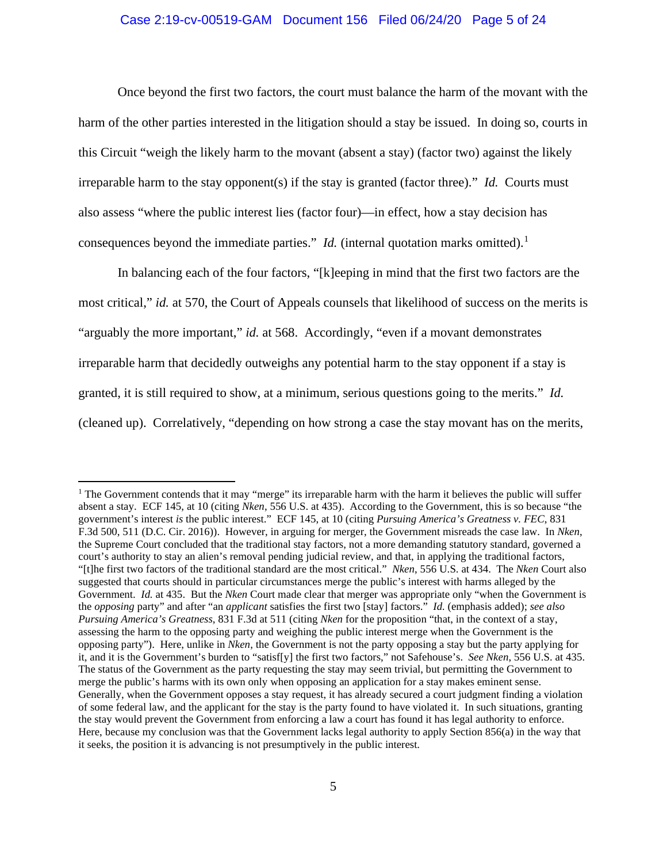# Case 2:19-cv-00519-GAM Document 156 Filed 06/24/20 Page 5 of 24

Once beyond the first two factors, the court must balance the harm of the movant with the harm of the other parties interested in the litigation should a stay be issued. In doing so, courts in this Circuit "weigh the likely harm to the movant (absent a stay) (factor two) against the likely irreparable harm to the stay opponent(s) if the stay is granted (factor three)." *Id.* Courts must also assess "where the public interest lies (factor four)—in effect, how a stay decision has consequences beyond the immediate parties." *Id.* (internal quotation marks omitted).<sup>[1](#page-4-0)</sup>

In balancing each of the four factors, "[k]eeping in mind that the first two factors are the most critical," *id.* at 570, the Court of Appeals counsels that likelihood of success on the merits is "arguably the more important," *id.* at 568. Accordingly, "even if a movant demonstrates irreparable harm that decidedly outweighs any potential harm to the stay opponent if a stay is granted, it is still required to show, at a minimum, serious questions going to the merits." *Id.*  (cleaned up). Correlatively, "depending on how strong a case the stay movant has on the merits,

<span id="page-4-0"></span><sup>&</sup>lt;sup>1</sup> The Government contends that it may "merge" its irreparable harm with the harm it believes the public will suffer absent a stay. ECF 145, at 10 (citing *Nken*, 556 U.S. at 435). According to the Government, this is so because "the government's interest *is* the public interest." ECF 145, at 10 (citing *Pursuing America's Greatness v. FEC*, 831 F.3d 500, 511 (D.C. Cir. 2016)). However, in arguing for merger, the Government misreads the case law. In *Nken*, the Supreme Court concluded that the traditional stay factors, not a more demanding statutory standard, governed a court's authority to stay an alien's removal pending judicial review, and that, in applying the traditional factors, "[t]he first two factors of the traditional standard are the most critical." *Nken*, 556 U.S. at 434. The *Nken* Court also suggested that courts should in particular circumstances merge the public's interest with harms alleged by the Government. *Id.* at 435. But the *Nken* Court made clear that merger was appropriate only "when the Government is the *opposing* party" and after "an *applicant* satisfies the first two [stay] factors." *Id.* (emphasis added); *see also Pursuing America's Greatness*, 831 F.3d at 511 (citing *Nken* for the proposition "that, in the context of a stay, assessing the harm to the opposing party and weighing the public interest merge when the Government is the opposing party"). Here, unlike in *Nken*, the Government is not the party opposing a stay but the party applying for it, and it is the Government's burden to "satisf[y] the first two factors," not Safehouse's. *See Nken*, 556 U.S. at 435. The status of the Government as the party requesting the stay may seem trivial, but permitting the Government to merge the public's harms with its own only when opposing an application for a stay makes eminent sense. Generally, when the Government opposes a stay request, it has already secured a court judgment finding a violation of some federal law, and the applicant for the stay is the party found to have violated it. In such situations, granting the stay would prevent the Government from enforcing a law a court has found it has legal authority to enforce. Here, because my conclusion was that the Government lacks legal authority to apply Section 856(a) in the way that it seeks, the position it is advancing is not presumptively in the public interest.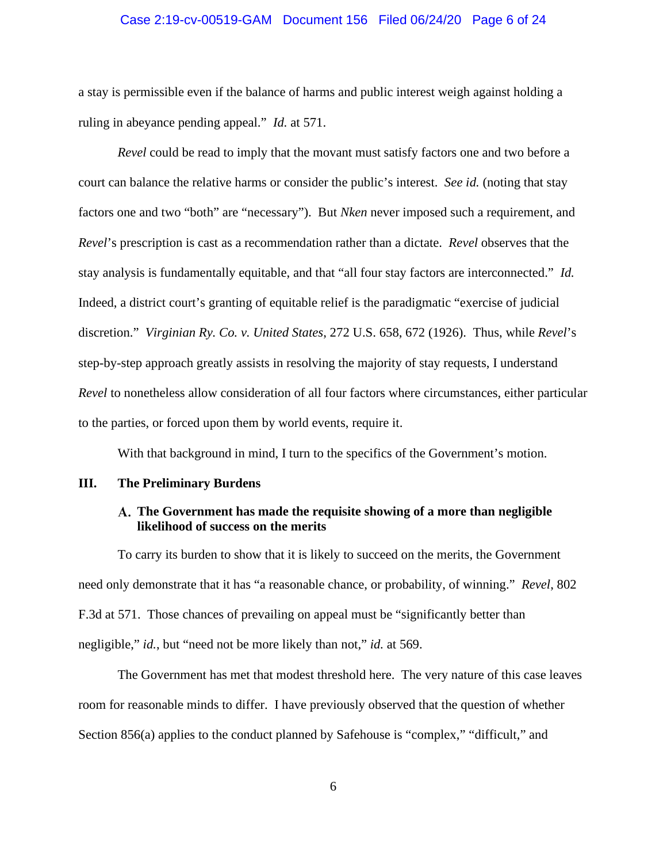# Case 2:19-cv-00519-GAM Document 156 Filed 06/24/20 Page 6 of 24

a stay is permissible even if the balance of harms and public interest weigh against holding a ruling in abeyance pending appeal." *Id.* at 571.

*Revel* could be read to imply that the movant must satisfy factors one and two before a court can balance the relative harms or consider the public's interest. *See id.* (noting that stay factors one and two "both" are "necessary"). But *Nken* never imposed such a requirement, and *Revel*'s prescription is cast as a recommendation rather than a dictate. *Revel* observes that the stay analysis is fundamentally equitable, and that "all four stay factors are interconnected." *Id.* Indeed, a district court's granting of equitable relief is the paradigmatic "exercise of judicial discretion." *Virginian Ry. Co. v. United States*, 272 U.S. 658, 672 (1926). Thus, while *Revel*'s step-by-step approach greatly assists in resolving the majority of stay requests, I understand *Revel* to nonetheless allow consideration of all four factors where circumstances, either particular to the parties, or forced upon them by world events, require it.

With that background in mind, I turn to the specifics of the Government's motion.

# **III. The Preliminary Burdens**

# **The Government has made the requisite showing of a more than negligible likelihood of success on the merits**

To carry its burden to show that it is likely to succeed on the merits, the Government need only demonstrate that it has "a reasonable chance, or probability, of winning." *Revel*, 802 F.3d at 571. Those chances of prevailing on appeal must be "significantly better than negligible," *id.*, but "need not be more likely than not," *id.* at 569.

The Government has met that modest threshold here. The very nature of this case leaves room for reasonable minds to differ. I have previously observed that the question of whether Section 856(a) applies to the conduct planned by Safehouse is "complex," "difficult," and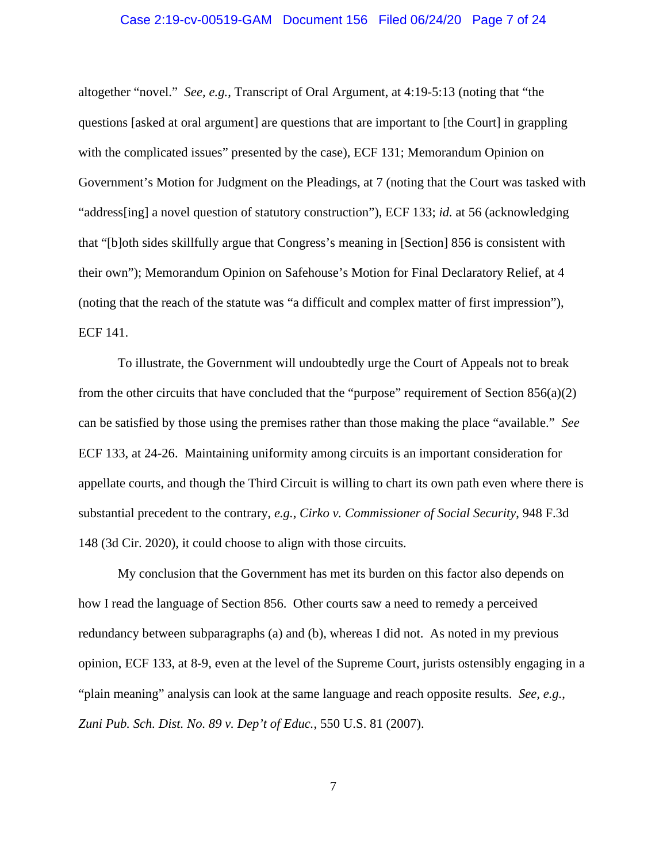# Case 2:19-cv-00519-GAM Document 156 Filed 06/24/20 Page 7 of 24

altogether "novel." *See, e.g.*, Transcript of Oral Argument, at 4:19-5:13 (noting that "the questions [asked at oral argument] are questions that are important to [the Court] in grappling with the complicated issues" presented by the case), ECF 131; Memorandum Opinion on Government's Motion for Judgment on the Pleadings, at 7 (noting that the Court was tasked with "address[ing] a novel question of statutory construction"), ECF 133; *id.* at 56 (acknowledging that "[b]oth sides skillfully argue that Congress's meaning in [Section] 856 is consistent with their own"); Memorandum Opinion on Safehouse's Motion for Final Declaratory Relief, at 4 (noting that the reach of the statute was "a difficult and complex matter of first impression"), ECF 141.

To illustrate, the Government will undoubtedly urge the Court of Appeals not to break from the other circuits that have concluded that the "purpose" requirement of Section  $856(a)(2)$ can be satisfied by those using the premises rather than those making the place "available." *See* ECF 133, at 24-26. Maintaining uniformity among circuits is an important consideration for appellate courts, and though the Third Circuit is willing to chart its own path even where there is substantial precedent to the contrary, *e.g.*, *Cirko v. Commissioner of Social Security*, 948 F.3d 148 (3d Cir. 2020), it could choose to align with those circuits.

My conclusion that the Government has met its burden on this factor also depends on how I read the language of Section 856. Other courts saw a need to remedy a perceived redundancy between subparagraphs (a) and (b), whereas I did not. As noted in my previous opinion, ECF 133, at 8-9, even at the level of the Supreme Court, jurists ostensibly engaging in a "plain meaning" analysis can look at the same language and reach opposite results. *See, e.g.*, *Zuni Pub. Sch. Dist. No. 89 v. Dep't of Educ.*, 550 U.S. 81 (2007).

7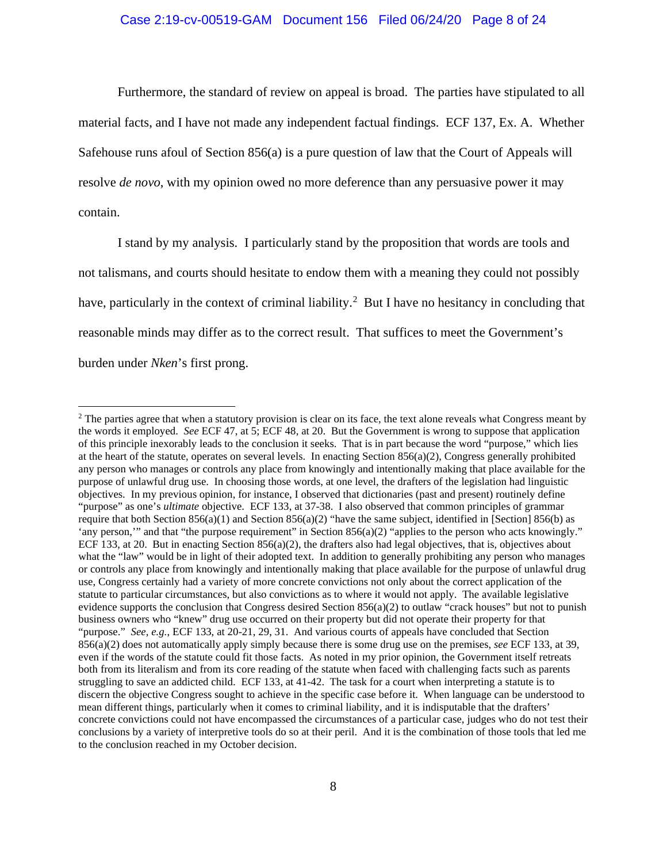Furthermore, the standard of review on appeal is broad. The parties have stipulated to all material facts, and I have not made any independent factual findings. ECF 137, Ex. A. Whether Safehouse runs afoul of Section 856(a) is a pure question of law that the Court of Appeals will resolve *de novo*, with my opinion owed no more deference than any persuasive power it may contain.

I stand by my analysis. I particularly stand by the proposition that words are tools and not talismans, and courts should hesitate to endow them with a meaning they could not possibly have, particularly in the context of criminal liability.<sup>[2](#page-7-0)</sup> But I have no hesitancy in concluding that reasonable minds may differ as to the correct result. That suffices to meet the Government's burden under *Nken*'s first prong.

<span id="page-7-0"></span><sup>&</sup>lt;sup>2</sup> The parties agree that when a statutory provision is clear on its face, the text alone reveals what Congress meant by the words it employed. *See* ECF 47, at 5; ECF 48, at 20. But the Government is wrong to suppose that application of this principle inexorably leads to the conclusion it seeks. That is in part because the word "purpose," which lies at the heart of the statute, operates on several levels. In enacting Section  $856(a)(2)$ , Congress generally prohibited any person who manages or controls any place from knowingly and intentionally making that place available for the purpose of unlawful drug use. In choosing those words, at one level, the drafters of the legislation had linguistic objectives. In my previous opinion, for instance, I observed that dictionaries (past and present) routinely define "purpose" as one's *ultimate* objective. ECF 133, at 37-38. I also observed that common principles of grammar require that both Section 856(a)(1) and Section 856(a)(2) "have the same subject, identified in [Section] 856(b) as 'any person,'" and that "the purpose requirement" in Section 856(a)(2) "applies to the person who acts knowingly." ECF 133, at 20. But in enacting Section 856(a)(2), the drafters also had legal objectives, that is, objectives about what the "law" would be in light of their adopted text. In addition to generally prohibiting any person who manages or controls any place from knowingly and intentionally making that place available for the purpose of unlawful drug use, Congress certainly had a variety of more concrete convictions not only about the correct application of the statute to particular circumstances, but also convictions as to where it would not apply. The available legislative evidence supports the conclusion that Congress desired Section  $856(a)(2)$  to outlaw "crack houses" but not to punish business owners who "knew" drug use occurred on their property but did not operate their property for that "purpose." *See, e.g.*, ECF 133, at 20-21, 29, 31. And various courts of appeals have concluded that Section 856(a)(2) does not automatically apply simply because there is some drug use on the premises, *see* ECF 133, at 39, even if the words of the statute could fit those facts. As noted in my prior opinion, the Government itself retreats both from its literalism and from its core reading of the statute when faced with challenging facts such as parents struggling to save an addicted child. ECF 133, at 41-42. The task for a court when interpreting a statute is to discern the objective Congress sought to achieve in the specific case before it. When language can be understood to mean different things, particularly when it comes to criminal liability, and it is indisputable that the drafters' concrete convictions could not have encompassed the circumstances of a particular case, judges who do not test their conclusions by a variety of interpretive tools do so at their peril. And it is the combination of those tools that led me to the conclusion reached in my October decision.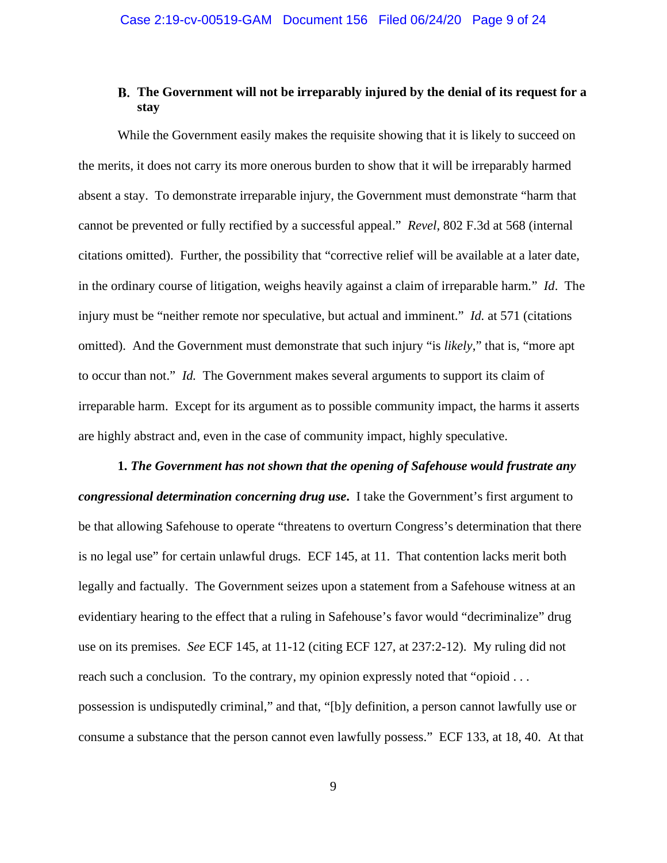# **The Government will not be irreparably injured by the denial of its request for a stay**

While the Government easily makes the requisite showing that it is likely to succeed on the merits, it does not carry its more onerous burden to show that it will be irreparably harmed absent a stay. To demonstrate irreparable injury, the Government must demonstrate "harm that cannot be prevented or fully rectified by a successful appeal." *Revel*, 802 F.3d at 568 (internal citations omitted). Further, the possibility that "corrective relief will be available at a later date, in the ordinary course of litigation, weighs heavily against a claim of irreparable harm*.*" *Id*. The injury must be "neither remote nor speculative, but actual and imminent." *Id.* at 571 (citations omitted). And the Government must demonstrate that such injury "is *likely*," that is, "more apt to occur than not." *Id.* The Government makes several arguments to support its claim of irreparable harm. Except for its argument as to possible community impact, the harms it asserts are highly abstract and, even in the case of community impact, highly speculative.

**1.** *The Government has not shown that the opening of Safehouse would frustrate any congressional determination concerning drug use***.**I take the Government's first argument to be that allowing Safehouse to operate "threatens to overturn Congress's determination that there is no legal use" for certain unlawful drugs. ECF 145, at 11. That contention lacks merit both legally and factually. The Government seizes upon a statement from a Safehouse witness at an evidentiary hearing to the effect that a ruling in Safehouse's favor would "decriminalize" drug use on its premises. *See* ECF 145, at 11-12 (citing ECF 127, at 237:2-12). My ruling did not reach such a conclusion. To the contrary, my opinion expressly noted that "opioid . . . possession is undisputedly criminal," and that, "[b]y definition, a person cannot lawfully use or consume a substance that the person cannot even lawfully possess." ECF 133, at 18, 40. At that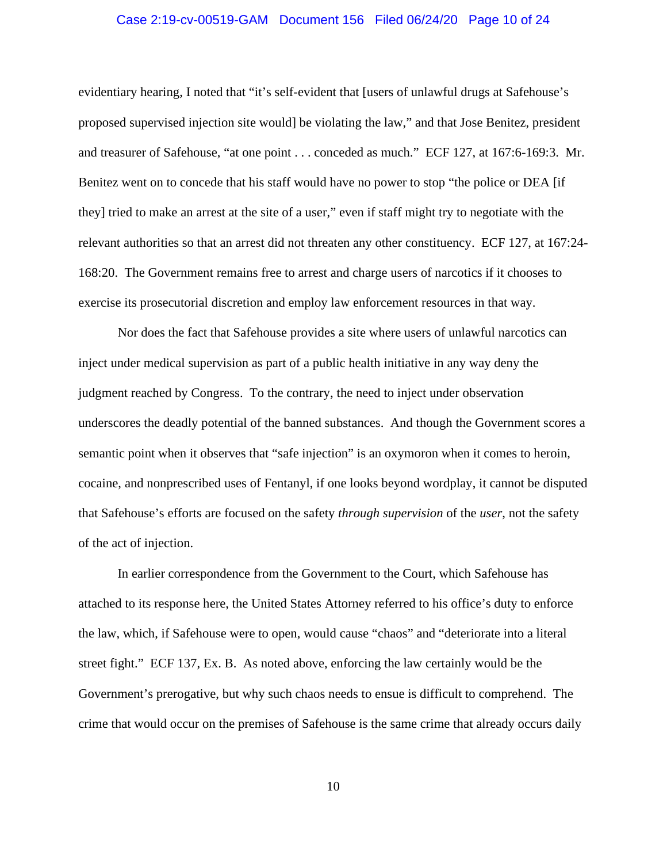# Case 2:19-cv-00519-GAM Document 156 Filed 06/24/20 Page 10 of 24

evidentiary hearing, I noted that "it's self-evident that [users of unlawful drugs at Safehouse's proposed supervised injection site would] be violating the law," and that Jose Benitez, president and treasurer of Safehouse, "at one point . . . conceded as much." ECF 127, at 167:6-169:3. Mr. Benitez went on to concede that his staff would have no power to stop "the police or DEA [if they] tried to make an arrest at the site of a user," even if staff might try to negotiate with the relevant authorities so that an arrest did not threaten any other constituency. ECF 127, at 167:24- 168:20. The Government remains free to arrest and charge users of narcotics if it chooses to exercise its prosecutorial discretion and employ law enforcement resources in that way.

Nor does the fact that Safehouse provides a site where users of unlawful narcotics can inject under medical supervision as part of a public health initiative in any way deny the judgment reached by Congress. To the contrary, the need to inject under observation underscores the deadly potential of the banned substances. And though the Government scores a semantic point when it observes that "safe injection" is an oxymoron when it comes to heroin, cocaine, and nonprescribed uses of Fentanyl, if one looks beyond wordplay, it cannot be disputed that Safehouse's efforts are focused on the safety *through supervision* of the *user*, not the safety of the act of injection.

In earlier correspondence from the Government to the Court, which Safehouse has attached to its response here, the United States Attorney referred to his office's duty to enforce the law, which, if Safehouse were to open, would cause "chaos" and "deteriorate into a literal street fight." ECF 137, Ex. B. As noted above, enforcing the law certainly would be the Government's prerogative, but why such chaos needs to ensue is difficult to comprehend. The crime that would occur on the premises of Safehouse is the same crime that already occurs daily

10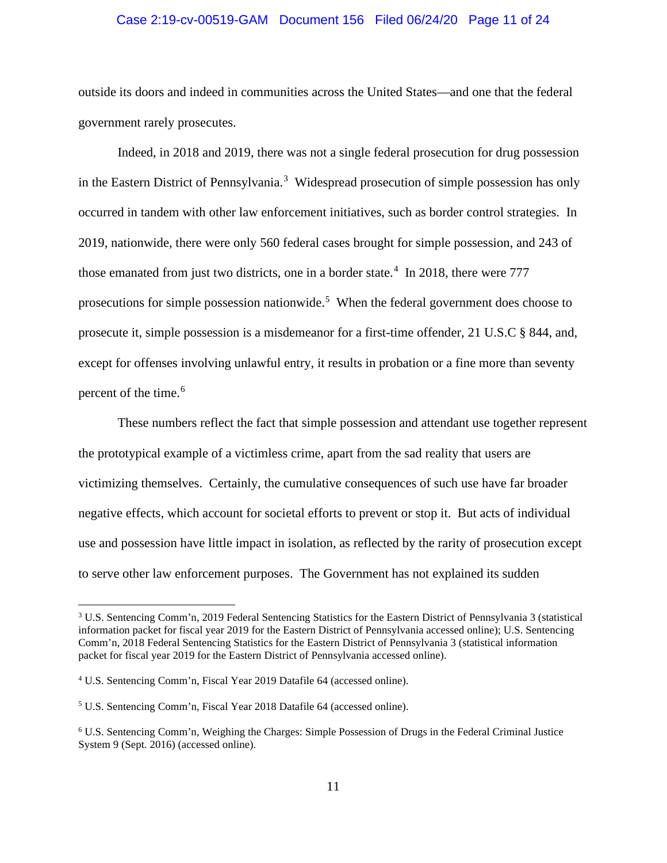# Case 2:19-cv-00519-GAM Document 156 Filed 06/24/20 Page 11 of 24

outside its doors and indeed in communities across the United States—and one that the federal government rarely prosecutes.

Indeed, in 2018 and 2019, there was not a single federal prosecution for drug possession in the Eastern District of Pennsylvania.<sup>[3](#page-10-0)</sup> Widespread prosecution of simple possession has only occurred in tandem with other law enforcement initiatives, such as border control strategies. In 2019, nationwide, there were only 560 federal cases brought for simple possession, and 243 of those emanated from just two districts, one in a border state.<sup>[4](#page-10-1)</sup> In 2018, there were 777 prosecutions for simple possession nationwide.<sup>[5](#page-10-2)</sup> When the federal government does choose to prosecute it, simple possession is a misdemeanor for a first-time offender, 21 U.S.C § 844, and, except for offenses involving unlawful entry, it results in probation or a fine more than seventy percent of the time.<sup>[6](#page-10-3)</sup>

These numbers reflect the fact that simple possession and attendant use together represent the prototypical example of a victimless crime, apart from the sad reality that users are victimizing themselves. Certainly, the cumulative consequences of such use have far broader negative effects, which account for societal efforts to prevent or stop it. But acts of individual use and possession have little impact in isolation, as reflected by the rarity of prosecution except to serve other law enforcement purposes. The Government has not explained its sudden

<span id="page-10-0"></span><sup>3</sup> U.S. Sentencing Comm'n, 2019 Federal Sentencing Statistics for the Eastern District of Pennsylvania 3 (statistical information packet for fiscal year 2019 for the Eastern District of Pennsylvania accessed online); U.S. Sentencing Comm'n, 2018 Federal Sentencing Statistics for the Eastern District of Pennsylvania 3 (statistical information packet for fiscal year 2019 for the Eastern District of Pennsylvania accessed online).

<span id="page-10-1"></span><sup>4</sup> U.S. Sentencing Comm'n, Fiscal Year 2019 Datafile 64 (accessed online).

<span id="page-10-2"></span><sup>5</sup> U.S. Sentencing Comm'n, Fiscal Year 2018 Datafile 64 (accessed online).

<span id="page-10-3"></span><sup>6</sup> U.S. Sentencing Comm'n, Weighing the Charges: Simple Possession of Drugs in the Federal Criminal Justice System 9 (Sept. 2016) (accessed online).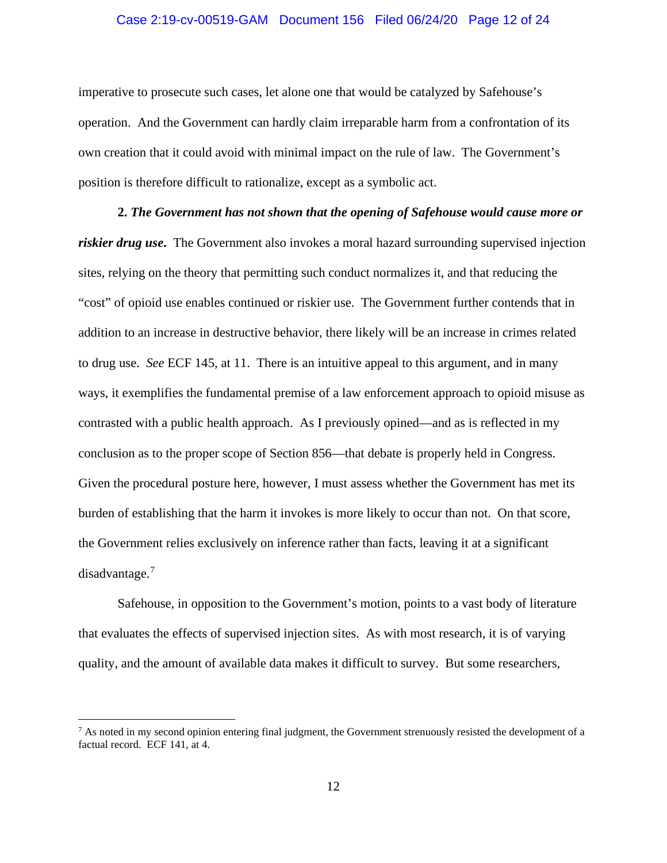# Case 2:19-cv-00519-GAM Document 156 Filed 06/24/20 Page 12 of 24

imperative to prosecute such cases, let alone one that would be catalyzed by Safehouse's operation. And the Government can hardly claim irreparable harm from a confrontation of its own creation that it could avoid with minimal impact on the rule of law. The Government's position is therefore difficult to rationalize, except as a symbolic act.

**2.** *The Government has not shown that the opening of Safehouse would cause more or riskier drug use***.**The Government also invokes a moral hazard surrounding supervised injection sites, relying on the theory that permitting such conduct normalizes it, and that reducing the "cost" of opioid use enables continued or riskier use. The Government further contends that in addition to an increase in destructive behavior, there likely will be an increase in crimes related to drug use. *See* ECF 145, at 11. There is an intuitive appeal to this argument, and in many ways, it exemplifies the fundamental premise of a law enforcement approach to opioid misuse as contrasted with a public health approach. As I previously opined—and as is reflected in my conclusion as to the proper scope of Section 856—that debate is properly held in Congress. Given the procedural posture here, however, I must assess whether the Government has met its burden of establishing that the harm it invokes is more likely to occur than not. On that score, the Government relies exclusively on inference rather than facts, leaving it at a significant disadvantage.<sup>[7](#page-11-0)</sup>

Safehouse, in opposition to the Government's motion, points to a vast body of literature that evaluates the effects of supervised injection sites. As with most research, it is of varying quality, and the amount of available data makes it difficult to survey. But some researchers,

<span id="page-11-0"></span> $<sup>7</sup>$  As noted in my second opinion entering final judgment, the Government strenuously resisted the development of a</sup> factual record. ECF 141, at 4.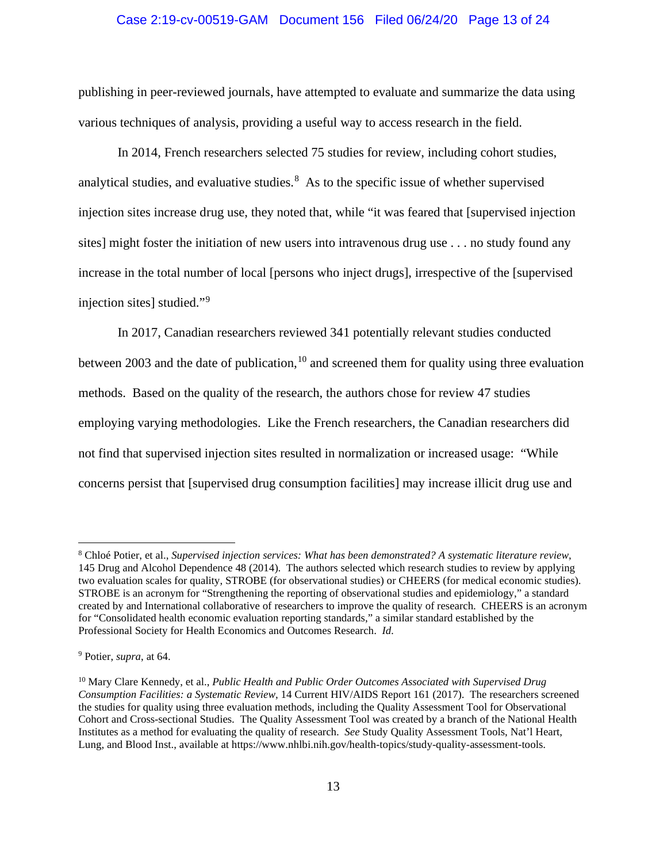# Case 2:19-cv-00519-GAM Document 156 Filed 06/24/20 Page 13 of 24

publishing in peer-reviewed journals, have attempted to evaluate and summarize the data using various techniques of analysis, providing a useful way to access research in the field.

In 2014, French researchers selected 75 studies for review, including cohort studies, analytical studies, and evaluative studies. $8\text{ As}$  $8\text{ As}$  to the specific issue of whether supervised injection sites increase drug use, they noted that, while "it was feared that [supervised injection sites] might foster the initiation of new users into intravenous drug use . . . no study found any increase in the total number of local [persons who inject drugs], irrespective of the [supervised injection sites] studied."[9](#page-12-1)

In 2017, Canadian researchers reviewed 341 potentially relevant studies conducted between 2003 and the date of publication, <sup>[10](#page-12-2)</sup> and screened them for quality using three evaluation methods. Based on the quality of the research, the authors chose for review 47 studies employing varying methodologies. Like the French researchers, the Canadian researchers did not find that supervised injection sites resulted in normalization or increased usage: "While concerns persist that [supervised drug consumption facilities] may increase illicit drug use and

<span id="page-12-0"></span><sup>8</sup> Chloé Potier, et al., *Supervised injection services: What has been demonstrated? A systematic literature review*, 145 Drug and Alcohol Dependence 48 (2014). The authors selected which research studies to review by applying two evaluation scales for quality, STROBE (for observational studies) or CHEERS (for medical economic studies). STROBE is an acronym for "Strengthening the reporting of observational studies and epidemiology," a standard created by and International collaborative of researchers to improve the quality of research. CHEERS is an acronym for "Consolidated health economic evaluation reporting standards," a similar standard established by the Professional Society for Health Economics and Outcomes Research. *Id.*

<span id="page-12-1"></span><sup>9</sup> Potier, *supra*, at 64.

<span id="page-12-2"></span><sup>10</sup> Mary Clare Kennedy, et al., *Public Health and Public Order Outcomes Associated with Supervised Drug Consumption Facilities: a Systematic Review*, 14 Current HIV/AIDS Report 161 (2017). The researchers screened the studies for quality using three evaluation methods, including the Quality Assessment Tool for Observational Cohort and Cross-sectional Studies. The Quality Assessment Tool was created by a branch of the National Health Institutes as a method for evaluating the quality of research. *See* Study Quality Assessment Tools, Nat'l Heart, Lung, and Blood Inst., available at https://www.nhlbi.nih.gov/health-topics/study-quality-assessment-tools.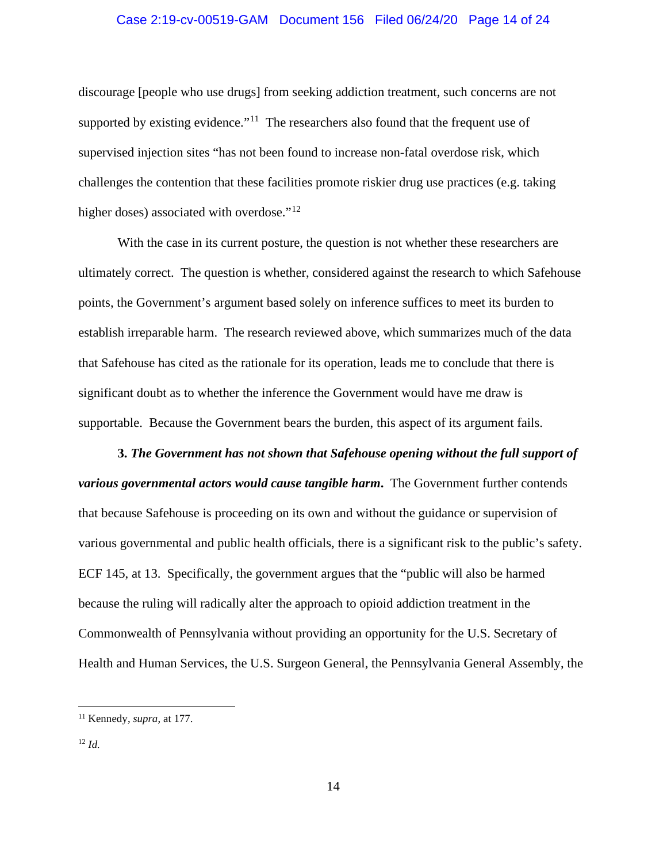# Case 2:19-cv-00519-GAM Document 156 Filed 06/24/20 Page 14 of 24

discourage [people who use drugs] from seeking addiction treatment, such concerns are not supported by existing evidence."<sup>[11](#page-13-0)</sup> The researchers also found that the frequent use of supervised injection sites "has not been found to increase non-fatal overdose risk, which challenges the contention that these facilities promote riskier drug use practices (e.g. taking higher doses) associated with overdose."<sup>[12](#page-13-1)</sup>

With the case in its current posture, the question is not whether these researchers are ultimately correct. The question is whether, considered against the research to which Safehouse points, the Government's argument based solely on inference suffices to meet its burden to establish irreparable harm. The research reviewed above, which summarizes much of the data that Safehouse has cited as the rationale for its operation, leads me to conclude that there is significant doubt as to whether the inference the Government would have me draw is supportable. Because the Government bears the burden, this aspect of its argument fails.

**3.** *The Government has not shown that Safehouse opening without the full support of various governmental actors would cause tangible harm***.**The Government further contends that because Safehouse is proceeding on its own and without the guidance or supervision of various governmental and public health officials, there is a significant risk to the public's safety. ECF 145, at 13. Specifically, the government argues that the "public will also be harmed because the ruling will radically alter the approach to opioid addiction treatment in the Commonwealth of Pennsylvania without providing an opportunity for the U.S. Secretary of Health and Human Services, the U.S. Surgeon General, the Pennsylvania General Assembly, the

<span id="page-13-0"></span><sup>11</sup> Kennedy, *supra*, at 177.

<span id="page-13-1"></span><sup>12</sup> *Id.*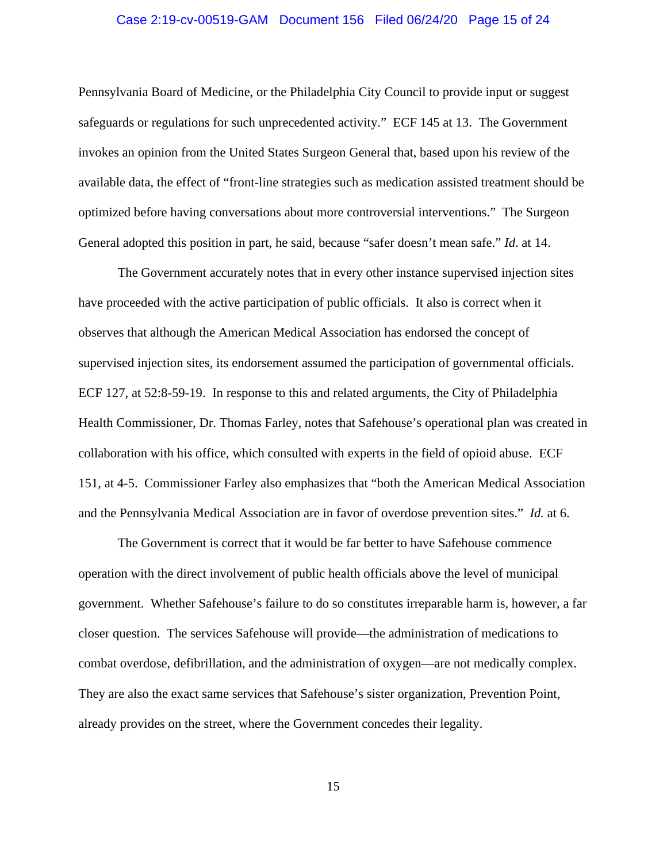# Case 2:19-cv-00519-GAM Document 156 Filed 06/24/20 Page 15 of 24

Pennsylvania Board of Medicine, or the Philadelphia City Council to provide input or suggest safeguards or regulations for such unprecedented activity." ECF 145 at 13. The Government invokes an opinion from the United States Surgeon General that, based upon his review of the available data, the effect of "front-line strategies such as medication assisted treatment should be optimized before having conversations about more controversial interventions." The Surgeon General adopted this position in part, he said, because "safer doesn't mean safe." *Id*. at 14.

The Government accurately notes that in every other instance supervised injection sites have proceeded with the active participation of public officials. It also is correct when it observes that although the American Medical Association has endorsed the concept of supervised injection sites, its endorsement assumed the participation of governmental officials. ECF 127, at 52:8-59-19. In response to this and related arguments, the City of Philadelphia Health Commissioner, Dr. Thomas Farley, notes that Safehouse's operational plan was created in collaboration with his office, which consulted with experts in the field of opioid abuse. ECF 151, at 4-5. Commissioner Farley also emphasizes that "both the American Medical Association and the Pennsylvania Medical Association are in favor of overdose prevention sites." *Id.* at 6.

The Government is correct that it would be far better to have Safehouse commence operation with the direct involvement of public health officials above the level of municipal government. Whether Safehouse's failure to do so constitutes irreparable harm is, however, a far closer question. The services Safehouse will provide—the administration of medications to combat overdose, defibrillation, and the administration of oxygen—are not medically complex. They are also the exact same services that Safehouse's sister organization, Prevention Point, already provides on the street, where the Government concedes their legality.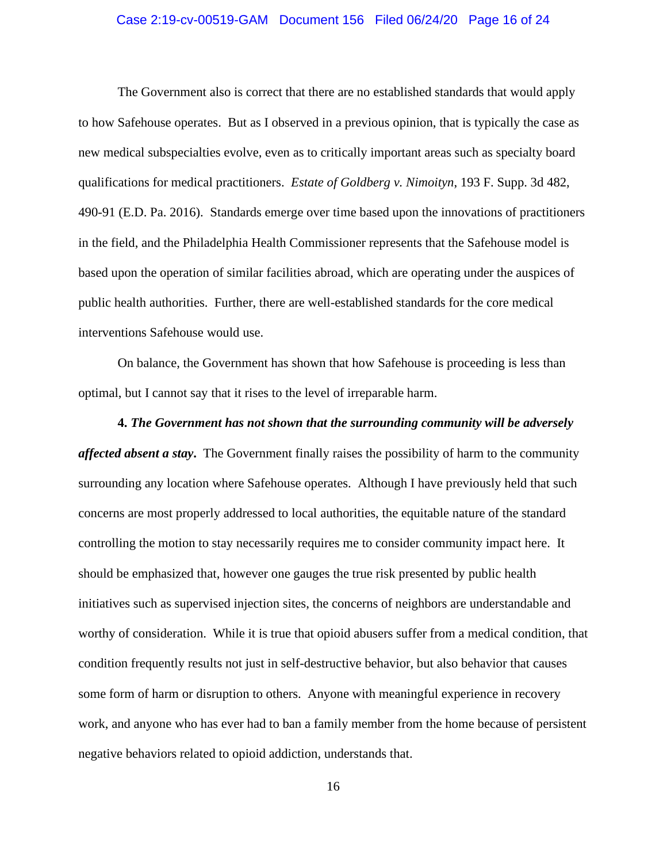# Case 2:19-cv-00519-GAM Document 156 Filed 06/24/20 Page 16 of 24

The Government also is correct that there are no established standards that would apply to how Safehouse operates. But as I observed in a previous opinion, that is typically the case as new medical subspecialties evolve, even as to critically important areas such as specialty board qualifications for medical practitioners. *Estate of Goldberg v. Nimoityn*, 193 F. Supp. 3d 482, 490-91 (E.D. Pa. 2016). Standards emerge over time based upon the innovations of practitioners in the field, and the Philadelphia Health Commissioner represents that the Safehouse model is based upon the operation of similar facilities abroad, which are operating under the auspices of public health authorities. Further, there are well-established standards for the core medical interventions Safehouse would use.

On balance, the Government has shown that how Safehouse is proceeding is less than optimal, but I cannot say that it rises to the level of irreparable harm.

**4.** *The Government has not shown that the surrounding community will be adversely affected absent a stay***.**The Government finally raises the possibility of harm to the community surrounding any location where Safehouse operates. Although I have previously held that such concerns are most properly addressed to local authorities, the equitable nature of the standard controlling the motion to stay necessarily requires me to consider community impact here. It should be emphasized that, however one gauges the true risk presented by public health initiatives such as supervised injection sites, the concerns of neighbors are understandable and worthy of consideration. While it is true that opioid abusers suffer from a medical condition, that condition frequently results not just in self-destructive behavior, but also behavior that causes some form of harm or disruption to others. Anyone with meaningful experience in recovery work, and anyone who has ever had to ban a family member from the home because of persistent negative behaviors related to opioid addiction, understands that.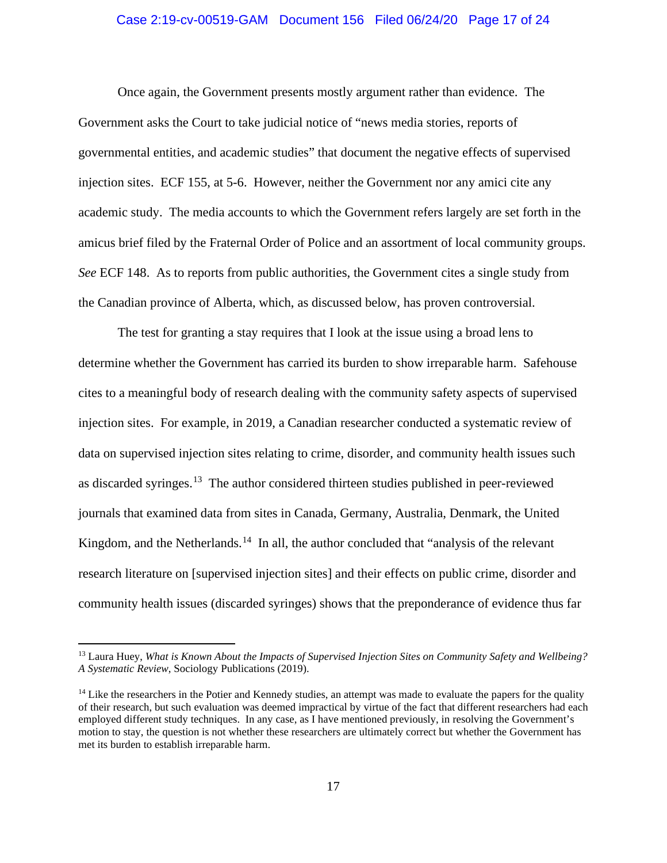# Case 2:19-cv-00519-GAM Document 156 Filed 06/24/20 Page 17 of 24

Once again, the Government presents mostly argument rather than evidence. The Government asks the Court to take judicial notice of "news media stories, reports of governmental entities, and academic studies" that document the negative effects of supervised injection sites. ECF 155, at 5-6. However, neither the Government nor any amici cite any academic study. The media accounts to which the Government refers largely are set forth in the amicus brief filed by the Fraternal Order of Police and an assortment of local community groups. *See* ECF 148. As to reports from public authorities, the Government cites a single study from the Canadian province of Alberta, which, as discussed below, has proven controversial.

The test for granting a stay requires that I look at the issue using a broad lens to determine whether the Government has carried its burden to show irreparable harm. Safehouse cites to a meaningful body of research dealing with the community safety aspects of supervised injection sites. For example, in 2019, a Canadian researcher conducted a systematic review of data on supervised injection sites relating to crime, disorder, and community health issues such as discarded syringes.[13](#page-16-0) The author considered thirteen studies published in peer-reviewed journals that examined data from sites in Canada, Germany, Australia, Denmark, the United Kingdom, and the Netherlands.<sup>14</sup> In all, the author concluded that "analysis of the relevant" research literature on [supervised injection sites] and their effects on public crime, disorder and community health issues (discarded syringes) shows that the preponderance of evidence thus far

<span id="page-16-0"></span><sup>13</sup> Laura Huey, *What is Known About the Impacts of Supervised Injection Sites on Community Safety and Wellbeing? A Systematic Review*, Sociology Publications (2019).

<span id="page-16-1"></span><sup>&</sup>lt;sup>14</sup> Like the researchers in the Potier and Kennedy studies, an attempt was made to evaluate the papers for the quality of their research, but such evaluation was deemed impractical by virtue of the fact that different researchers had each employed different study techniques. In any case, as I have mentioned previously, in resolving the Government's motion to stay, the question is not whether these researchers are ultimately correct but whether the Government has met its burden to establish irreparable harm.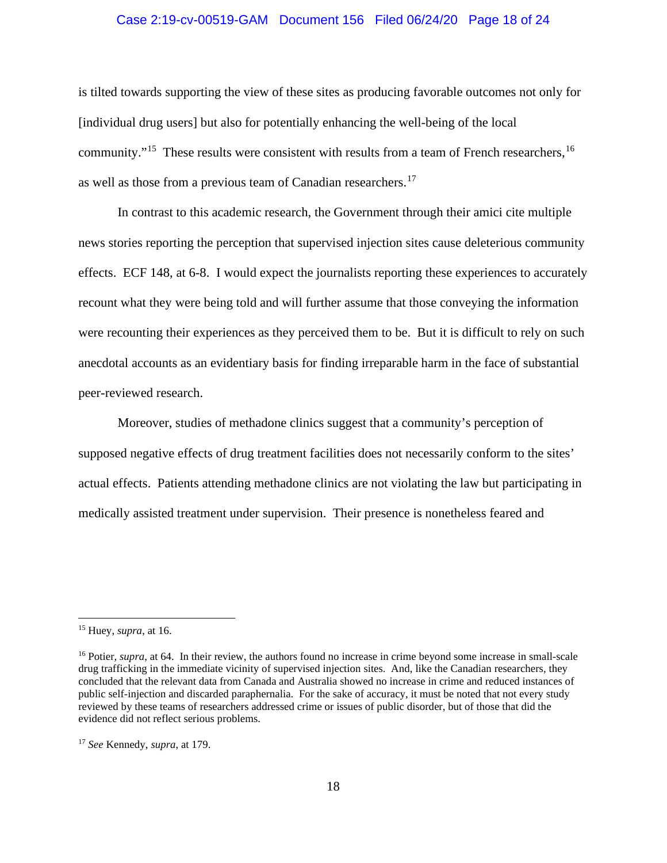# Case 2:19-cv-00519-GAM Document 156 Filed 06/24/20 Page 18 of 24

is tilted towards supporting the view of these sites as producing favorable outcomes not only for [individual drug users] but also for potentially enhancing the well-being of the local community."<sup>15</sup> These results were consistent with results from a team of French researchers, <sup>[16](#page-17-1)</sup> as well as those from a previous team of Canadian researchers. [17](#page-17-2)

In contrast to this academic research, the Government through their amici cite multiple news stories reporting the perception that supervised injection sites cause deleterious community effects. ECF 148, at 6-8. I would expect the journalists reporting these experiences to accurately recount what they were being told and will further assume that those conveying the information were recounting their experiences as they perceived them to be. But it is difficult to rely on such anecdotal accounts as an evidentiary basis for finding irreparable harm in the face of substantial peer-reviewed research.

Moreover, studies of methadone clinics suggest that a community's perception of supposed negative effects of drug treatment facilities does not necessarily conform to the sites' actual effects. Patients attending methadone clinics are not violating the law but participating in medically assisted treatment under supervision. Their presence is nonetheless feared and

<span id="page-17-0"></span><sup>15</sup> Huey, *supra*, at 16.

<span id="page-17-1"></span><sup>&</sup>lt;sup>16</sup> Potier, *supra*, at 64. In their review, the authors found no increase in crime beyond some increase in small-scale drug trafficking in the immediate vicinity of supervised injection sites. And, like the Canadian researchers, they concluded that the relevant data from Canada and Australia showed no increase in crime and reduced instances of public self-injection and discarded paraphernalia. For the sake of accuracy, it must be noted that not every study reviewed by these teams of researchers addressed crime or issues of public disorder, but of those that did the evidence did not reflect serious problems.

<span id="page-17-2"></span><sup>17</sup> *See* Kennedy, *supra*, at 179.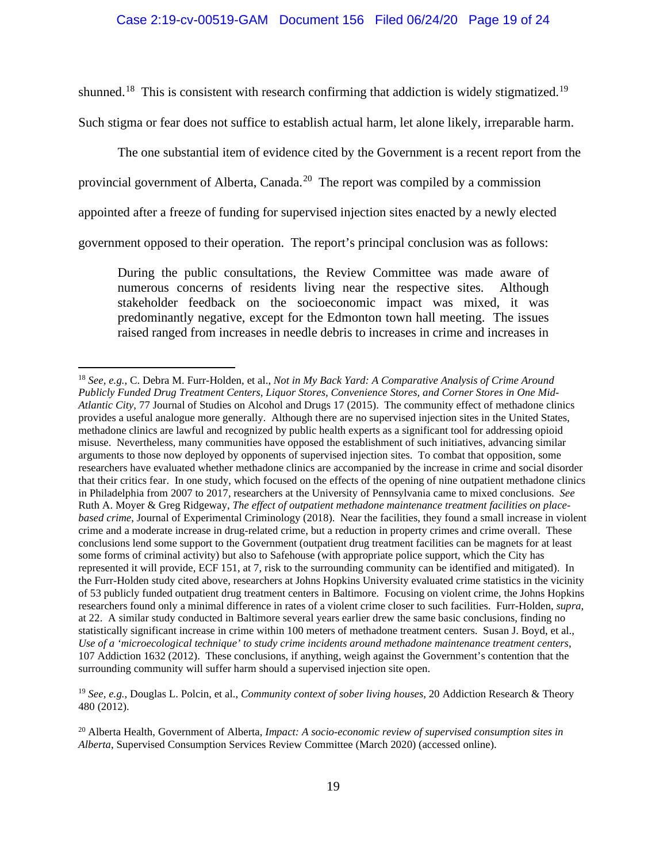shunned.<sup>18</sup> This is consistent with research confirming that addiction is widely stigmatized.<sup>19</sup>

Such stigma or fear does not suffice to establish actual harm, let alone likely, irreparable harm.

The one substantial item of evidence cited by the Government is a recent report from the

provincial government of Alberta, Canada.<sup>20</sup> The report was compiled by a commission

appointed after a freeze of funding for supervised injection sites enacted by a newly elected

government opposed to their operation. The report's principal conclusion was as follows:

During the public consultations, the Review Committee was made aware of numerous concerns of residents living near the respective sites. Although stakeholder feedback on the socioeconomic impact was mixed, it was predominantly negative, except for the Edmonton town hall meeting. The issues raised ranged from increases in needle debris to increases in crime and increases in

<span id="page-18-1"></span><sup>19</sup> *See, e.g.*, Douglas L. Polcin, et al., *Community context of sober living houses*, 20 Addiction Research & Theory 480 (2012).

<span id="page-18-2"></span><sup>20</sup> Alberta Health, Government of Alberta, *Impact: A socio-economic review of supervised consumption sites in Alberta*, Supervised Consumption Services Review Committee (March 2020) (accessed online).

<span id="page-18-0"></span><sup>18</sup> *See, e.g.*, C. Debra M. Furr-Holden, et al., *Not in My Back Yard: A Comparative Analysis of Crime Around Publicly Funded Drug Treatment Centers, Liquor Stores, Convenience Stores, and Corner Stores in One Mid-Atlantic City*, 77 Journal of Studies on Alcohol and Drugs 17 (2015). The community effect of methadone clinics provides a useful analogue more generally. Although there are no supervised injection sites in the United States, methadone clinics are lawful and recognized by public health experts as a significant tool for addressing opioid misuse. Nevertheless, many communities have opposed the establishment of such initiatives, advancing similar arguments to those now deployed by opponents of supervised injection sites. To combat that opposition, some researchers have evaluated whether methadone clinics are accompanied by the increase in crime and social disorder that their critics fear. In one study, which focused on the effects of the opening of nine outpatient methadone clinics in Philadelphia from 2007 to 2017, researchers at the University of Pennsylvania came to mixed conclusions. *See*  Ruth A. Moyer & Greg Ridgeway, *The effect of outpatient methadone maintenance treatment facilities on placebased crime*, Journal of Experimental Criminology (2018). Near the facilities, they found a small increase in violent crime and a moderate increase in drug-related crime, but a reduction in property crimes and crime overall. These conclusions lend some support to the Government (outpatient drug treatment facilities can be magnets for at least some forms of criminal activity) but also to Safehouse (with appropriate police support, which the City has represented it will provide, ECF 151, at 7, risk to the surrounding community can be identified and mitigated). In the Furr-Holden study cited above, researchers at Johns Hopkins University evaluated crime statistics in the vicinity of 53 publicly funded outpatient drug treatment centers in Baltimore. Focusing on violent crime, the Johns Hopkins researchers found only a minimal difference in rates of a violent crime closer to such facilities. Furr-Holden, *supra*, at 22. A similar study conducted in Baltimore several years earlier drew the same basic conclusions, finding no statistically significant increase in crime within 100 meters of methadone treatment centers. Susan J. Boyd, et al., *Use of a 'microecological technique' to study crime incidents around methadone maintenance treatment centers*, 107 Addiction 1632 (2012). These conclusions, if anything, weigh against the Government's contention that the surrounding community will suffer harm should a supervised injection site open.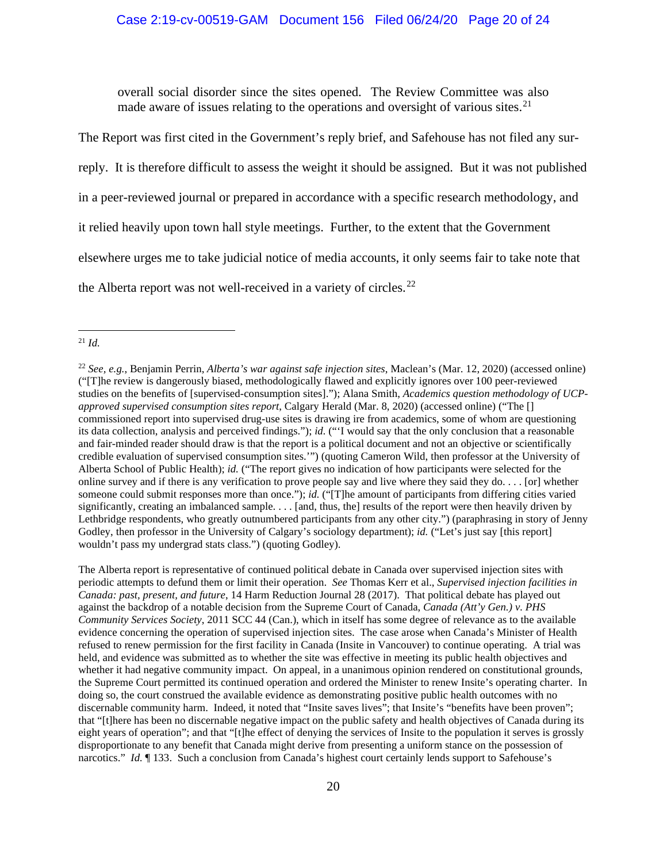overall social disorder since the sites opened. The Review Committee was also made aware of issues relating to the operations and oversight of various sites.<sup>[21](#page-19-0)</sup>

The Report was first cited in the Government's reply brief, and Safehouse has not filed any surreply. It is therefore difficult to assess the weight it should be assigned. But it was not published in a peer-reviewed journal or prepared in accordance with a specific research methodology, and it relied heavily upon town hall style meetings. Further, to the extent that the Government elsewhere urges me to take judicial notice of media accounts, it only seems fair to take note that the Alberta report was not well-received in a variety of circles.<sup>[22](#page-19-1)</sup>

The Alberta report is representative of continued political debate in Canada over supervised injection sites with periodic attempts to defund them or limit their operation. *See* Thomas Kerr et al., *Supervised injection facilities in Canada: past, present, and future*, 14 Harm Reduction Journal 28 (2017). That political debate has played out against the backdrop of a notable decision from the Supreme Court of Canada, *Canada (Att'y Gen.) v. PHS Community Services Society*, 2011 SCC 44 (Can.), which in itself has some degree of relevance as to the available evidence concerning the operation of supervised injection sites. The case arose when Canada's Minister of Health refused to renew permission for the first facility in Canada (Insite in Vancouver) to continue operating. A trial was held, and evidence was submitted as to whether the site was effective in meeting its public health objectives and whether it had negative community impact. On appeal, in a unanimous opinion rendered on constitutional grounds, the Supreme Court permitted its continued operation and ordered the Minister to renew Insite's operating charter. In doing so, the court construed the available evidence as demonstrating positive public health outcomes with no discernable community harm. Indeed, it noted that "Insite saves lives"; that Insite's "benefits have been proven"; that "[t]here has been no discernable negative impact on the public safety and health objectives of Canada during its eight years of operation"; and that "[t]he effect of denying the services of Insite to the population it serves is grossly disproportionate to any benefit that Canada might derive from presenting a uniform stance on the possession of narcotics." *Id.* ¶ 133. Such a conclusion from Canada's highest court certainly lends support to Safehouse's

<span id="page-19-0"></span><sup>21</sup> *Id.*

<span id="page-19-1"></span><sup>22</sup> *See, e.g.*, Benjamin Perrin, *Alberta's war against safe injection sites*, Maclean's (Mar. 12, 2020) (accessed online) ("[T]he review is dangerously biased, methodologically flawed and explicitly ignores over 100 peer-reviewed studies on the benefits of [supervised-consumption sites]."); Alana Smith, *Academics question methodology of UCPapproved supervised consumption sites report*, Calgary Herald (Mar. 8, 2020) (accessed online) ("The [] commissioned report into supervised drug-use sites is drawing ire from academics, some of whom are questioning its data collection, analysis and perceived findings."); *id.* ("'I would say that the only conclusion that a reasonable and fair-minded reader should draw is that the report is a political document and not an objective or scientifically credible evaluation of supervised consumption sites.'") (quoting Cameron Wild, then professor at the University of Alberta School of Public Health); *id.* ("The report gives no indication of how participants were selected for the online survey and if there is any verification to prove people say and live where they said they do. . . . [or] whether someone could submit responses more than once."); *id.* ("[T]he amount of participants from differing cities varied significantly, creating an imbalanced sample. . . . [and, thus, the] results of the report were then heavily driven by Lethbridge respondents, who greatly outnumbered participants from any other city.") (paraphrasing in story of Jenny Godley, then professor in the University of Calgary's sociology department); *id.* ("Let's just say [this report] wouldn't pass my undergrad stats class.") (quoting Godley).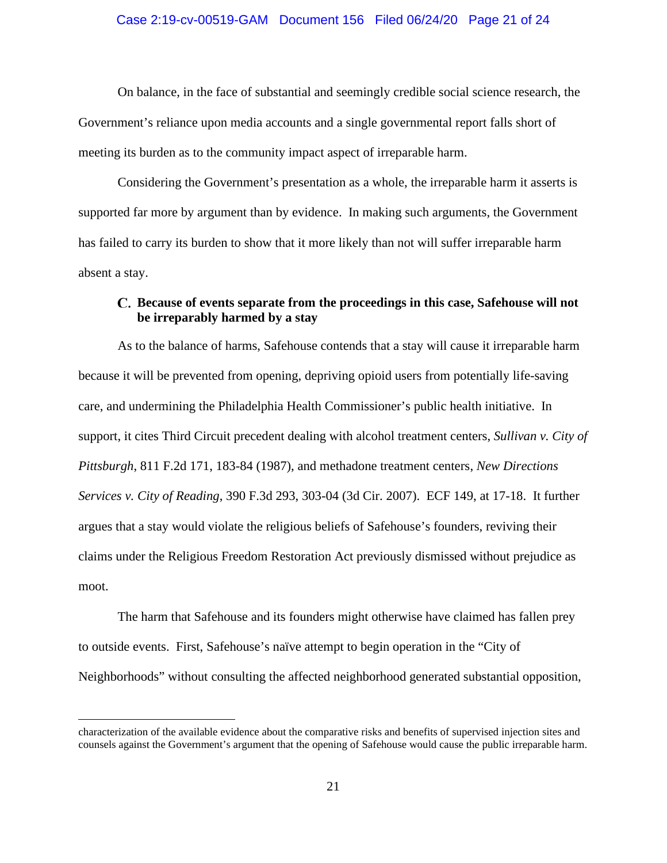On balance, in the face of substantial and seemingly credible social science research, the Government's reliance upon media accounts and a single governmental report falls short of meeting its burden as to the community impact aspect of irreparable harm.

Considering the Government's presentation as a whole, the irreparable harm it asserts is supported far more by argument than by evidence. In making such arguments, the Government has failed to carry its burden to show that it more likely than not will suffer irreparable harm absent a stay.

# **Because of events separate from the proceedings in this case, Safehouse will not be irreparably harmed by a stay**

As to the balance of harms, Safehouse contends that a stay will cause it irreparable harm because it will be prevented from opening, depriving opioid users from potentially life-saving care, and undermining the Philadelphia Health Commissioner's public health initiative. In support, it cites Third Circuit precedent dealing with alcohol treatment centers, *Sullivan v. City of Pittsburgh*, 811 F.2d 171, 183-84 (1987), and methadone treatment centers, *New Directions Services v. City of Reading*, 390 F.3d 293, 303-04 (3d Cir. 2007). ECF 149, at 17-18. It further argues that a stay would violate the religious beliefs of Safehouse's founders, reviving their claims under the Religious Freedom Restoration Act previously dismissed without prejudice as moot.

The harm that Safehouse and its founders might otherwise have claimed has fallen prey to outside events. First, Safehouse's naïve attempt to begin operation in the "City of Neighborhoods" without consulting the affected neighborhood generated substantial opposition,

characterization of the available evidence about the comparative risks and benefits of supervised injection sites and counsels against the Government's argument that the opening of Safehouse would cause the public irreparable harm.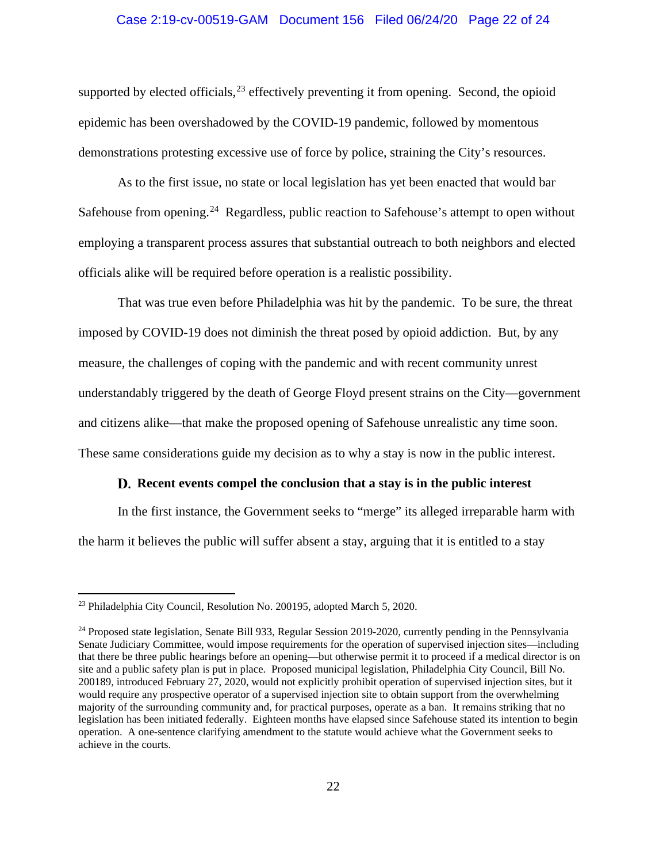# Case 2:19-cv-00519-GAM Document 156 Filed 06/24/20 Page 22 of 24

supported by elected officials,  $^{23}$  $^{23}$  $^{23}$  effectively preventing it from opening. Second, the opioid epidemic has been overshadowed by the COVID-19 pandemic, followed by momentous demonstrations protesting excessive use of force by police, straining the City's resources.

As to the first issue, no state or local legislation has yet been enacted that would bar Safehouse from opening.<sup>[24](#page-21-1)</sup> Regardless, public reaction to Safehouse's attempt to open without employing a transparent process assures that substantial outreach to both neighbors and elected officials alike will be required before operation is a realistic possibility.

That was true even before Philadelphia was hit by the pandemic. To be sure, the threat imposed by COVID-19 does not diminish the threat posed by opioid addiction. But, by any measure, the challenges of coping with the pandemic and with recent community unrest understandably triggered by the death of George Floyd present strains on the City—government and citizens alike—that make the proposed opening of Safehouse unrealistic any time soon. These same considerations guide my decision as to why a stay is now in the public interest.

#### **Recent events compel the conclusion that a stay is in the public interest**

In the first instance, the Government seeks to "merge" its alleged irreparable harm with the harm it believes the public will suffer absent a stay, arguing that it is entitled to a stay

<span id="page-21-0"></span><sup>23</sup> Philadelphia City Council, Resolution No. 200195, adopted March 5, 2020.

<span id="page-21-1"></span><sup>&</sup>lt;sup>24</sup> Proposed state legislation, Senate Bill 933, Regular Session 2019-2020, currently pending in the Pennsylvania Senate Judiciary Committee, would impose requirements for the operation of supervised injection sites—including that there be three public hearings before an opening—but otherwise permit it to proceed if a medical director is on site and a public safety plan is put in place. Proposed municipal legislation, Philadelphia City Council, Bill No. 200189, introduced February 27, 2020, would not explicitly prohibit operation of supervised injection sites, but it would require any prospective operator of a supervised injection site to obtain support from the overwhelming majority of the surrounding community and, for practical purposes, operate as a ban. It remains striking that no legislation has been initiated federally. Eighteen months have elapsed since Safehouse stated its intention to begin operation. A one-sentence clarifying amendment to the statute would achieve what the Government seeks to achieve in the courts.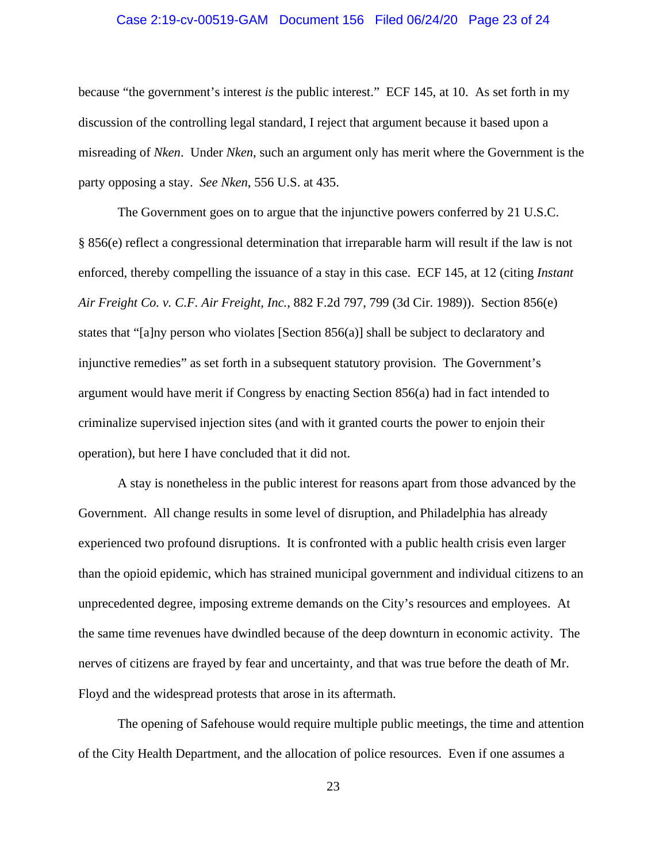# Case 2:19-cv-00519-GAM Document 156 Filed 06/24/20 Page 23 of 24

because "the government's interest *is* the public interest." ECF 145, at 10. As set forth in my discussion of the controlling legal standard, I reject that argument because it based upon a misreading of *Nken*. Under *Nken*, such an argument only has merit where the Government is the party opposing a stay. *See Nken*, 556 U.S. at 435.

The Government goes on to argue that the injunctive powers conferred by 21 U.S.C. § 856(e) reflect a congressional determination that irreparable harm will result if the law is not enforced, thereby compelling the issuance of a stay in this case. ECF 145, at 12 (citing *Instant Air Freight Co. v. C.F. Air Freight, Inc.*, 882 F.2d 797, 799 (3d Cir. 1989)). Section 856(e) states that "[a]ny person who violates [Section 856(a)] shall be subject to declaratory and injunctive remedies" as set forth in a subsequent statutory provision. The Government's argument would have merit if Congress by enacting Section 856(a) had in fact intended to criminalize supervised injection sites (and with it granted courts the power to enjoin their operation), but here I have concluded that it did not.

A stay is nonetheless in the public interest for reasons apart from those advanced by the Government. All change results in some level of disruption, and Philadelphia has already experienced two profound disruptions. It is confronted with a public health crisis even larger than the opioid epidemic, which has strained municipal government and individual citizens to an unprecedented degree, imposing extreme demands on the City's resources and employees. At the same time revenues have dwindled because of the deep downturn in economic activity. The nerves of citizens are frayed by fear and uncertainty, and that was true before the death of Mr. Floyd and the widespread protests that arose in its aftermath.

The opening of Safehouse would require multiple public meetings, the time and attention of the City Health Department, and the allocation of police resources. Even if one assumes a